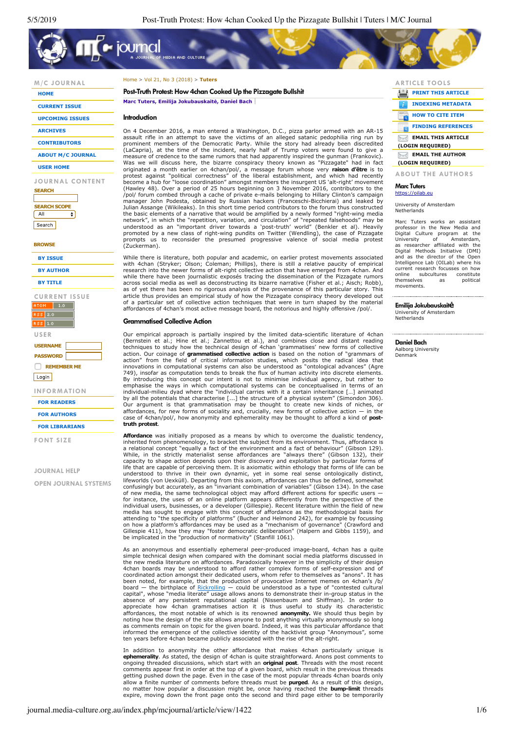

#### **M/C JOURNAL**

| <b>HOME</b>          |  |
|----------------------|--|
| <b>CURRENT ISSUE</b> |  |

| <b>UPCOMING ISSUES</b> |  |
|------------------------|--|
| <b>ARCHIVES</b>        |  |
| <b>CONTRIBUTORS</b>    |  |

**ABOUT M/C JOURNAL**

**USER HOME**

| JOURNAL CONTENT |  |  |  |
|-----------------|--|--|--|
|                 |  |  |  |

| <b>SEARCH</b>       |  |
|---------------------|--|
|                     |  |
| <b>SEARCH SCOPE</b> |  |
| ΔIΙ                 |  |
| Search              |  |
|                     |  |

#### **BROWSE**

| <b>BY ISSUE</b>      |
|----------------------|
| <b>BY AUTHOR</b>     |
| <b>BY TITLE</b>      |
| <b>CURRENT ISSUE</b> |
| 1.0<br>TOM           |
| 2.0<br>> 2R          |
| RSS 1.0              |
| USER                 |
| <b>USERNAME</b>      |
| <b>PASSWORD</b>      |

**REMEMBER ME** Login

**INFORMATION**

**FOR READERS**

**FOR AUTHORS**

**FOR LIBRARIANS**

**FONT SIZE**

**JOURNAL HELP OPEN JOURNAL SYSTEMS**

#### Home > Vol 21, No 3 (2018) > **Tuters**

**Post-Truth Protest:How4chanCookedUp the Pizzagate Bullshit Marc Tuters, Emilija Jokubauskaitė, Daniel Bach**

#### **Introduction**

On 4 December 2016, a man entered a Washington, D.C., pizza parlor armed with an AR15 assault rifle in an attempt to save the victims of an alleged satanic pedophilia ring run by prominent members of the Democratic Party. While the story had already been discredited (LaCapria), at the time of the incident, nearly half of Trump voters were found to give a measure of credence to the same rumors that had apparently inspired the gunman (Frankovic). Was we will discuss here, the bizarre conspiracy theory known as "Pizzagate" had in fact originated a month earlier on 4chan/pol/, a message forum whose very **raison d'être** is to protest against "political correctness" of the liberal establishment, and which had recently become a hub for "loose coordination" amongst members the insurgent US 'altright' movement (Hawley 48). Over a period of 25 hours beginning on 3 November 2016, contributors to the<br>/pol/ forum combed through a cache of private e-mails belonging to Hillary Clinton's campaign manager John Podesta, obtained by Russian hackers (Franceschi-Bicchierai) and leaked by Julian Assange (Wikileaks). In this short time period contributors to the forum thus constructed the basic elements of a narrative that would be amplified by a newly formed "right-wing media<br>network", in which the "repetition, variation, and circulation" of "repeated falsehoods" may be<br>understood as an "important dr promoted by a new class of right-wing pundits on Twitter (Wendling), the case of Pizzagate<br>prompts us to reconsider the presumed progressive valence of social media protest (Zuckerman).

While there is literature, both popular and academic, on earlier protest movements associated with 4chan (Stryker; Olson; Coleman; Phillips), there is still a relative paucity of empirical research into the newer forms of altright collective action that have emerged from 4chan. And while there have been journalistic exposés tracing the dissemination of the Pizzagate rumors across social media as well as deconstructing its bizarre narrative (Fisher et al.; Aisch; Robb), as of yet there has been no rigorous analysis of the provenance of this particular story. This article thus provides an empirical study of how the Pizzagate conspiracy theory developed out of a particular set of collective action techniques that were in turn shaped by the material affordances of 4chan's most active message board, the notorious and highly offensive /pol/.

### **Grammatised Collective Action**

Our empirical approach is partially inspired by the limited data-scientific literature of 4chan (Bernstein et al.; Hine et al.; Zannettou et al.), and combines close and distant reading<br>techniques to study how the technical design of 4chan 'grammatises' new forms of collective<br>action. Our coinage of **grammatised coll** innovations in computational systems can also be understood as "ontological advances" (Agre 749), insofar as computation tends to break the flux of human activity into discrete elements. By introducing this concept our intent is not to minimise individual agency, but rather to emphasise the ways in which computational systems can be conceptualised in terms of an<br>individual-milieu dyad where the "individual carries with it a certain inheritance […] animated by all the potentials that characterise [...] the structure of a physical system" (Simondon 306).<br>Our argument is that grammatisation may be thought to create new kinds of niches, or<br>affordances, for new f case of 4chan/pol/, how anonymity and ephemerality may be thought to afford a kind of **posttruth protest**.

Affordance was initially proposed as a means by which to overcome the dualistic tendency, inherited from phenomenology, to bracket the subject from its environment. Thus, affordance is a relational concept "equally a fact of the environment and a fact of behaviour" (Gibson 129). While, in the strictly materialist sense affordances are "always there" (Gibson 132), their capacity to shape action depends upon their discovery and exploitation by particular forms of life that are capable of perceiving them. It is axiomatic within ethology that forms of life can be understood to thrive in their own dynamic, yet in some real sense ontologically distinct, lifeworlds (von Uexküll). Departing from this axiom, affordances can thus be defined, somewhat confusingly but accurately, as an "invariant combination of variables" (Gibson 134). In the case of new media, the same technological object may afford different actions for specific users  $-$ <br>for instance, the uses of an online platform appears differently from the perspective of the<br>individual users, businesses, or on how a platform's affordances may be used as a "mechanism of governance" (Crawford and Gillespie 411), how they may "foster democratic deliberation" (Halpern and Gibbs 1159), and be implicated in the "production of normativity" (Stanfill 1061).

As an anonymous and essentially ephemeral peer-produced image-board, 4chan has a quite simple technical design when compared with the dominant social media platforms discussed in the new media literature on affordances. Paradoxically however in the simplicity of their design 4chan boards may be understood to afford rather complex forms of self-expression and of coordinated action amongst their dedicated users, whom refer to themselves as "anons". It has<br>been noted, for example, that the production of provocative Internet memes on 4chan's /b/<br>board — the birthplace of <u>Rickrolling</u> absence of any persistent reputational capital (Nissenbaum and Shiffman). In order to<br>appreciate how 4chan grammatises action it is thus useful to study its characteristic<br>affordances, the most notable of which is its reno noting how the design of the site allows anyone to post anything virtually anonymously so long as comments remain on topic for the given board. Indeed, it was this particular affordance that informed the emergence of the collective identity of the hacktivist group "Anonymous", some ten years before 4chan became publicly associated with the rise of the alt-right.

In addition to anonymity the other affordance that makes 4chan particularly unique is **ephemerality**. As stated, the design of 4chan is quite straightforward. Anons post comments to ongoing threaded discussions, which start with an **original post**. Threads with the most recent comments appear first in order at the top of a given board, which result in the previous threads getting pushed down the page. Even in the case of the most popular threads 4chan boards only allow a finite number of comments before threads must be **purged.** As a result of this design,<br>no matter how popular a discussion might be, once having reached the **bump-limit** threads<br>expire, moving down the front page on

#### **ARTICLE TOOLS**



#### **Marc Tuters** https://oilab.eu

University of Amsterdam

**Netherlands** 

Marc Tuters works an assistant professor in the New Media and Digital Culture program at the University of Amsterdam, as researcher affiliated with the Digital Methods Initiative (DMI) and as the director of the Open Intelligence Lab (OILab) where his current research focusses on how<br>online subcultures constitute<br>themselves as political online subcultures constitute themselves as political movements.

**Emilija Jokubauskaitė** University of Amsterdam

**Netherlands** 

# **Daniel Bach**

Aalborg University Denmark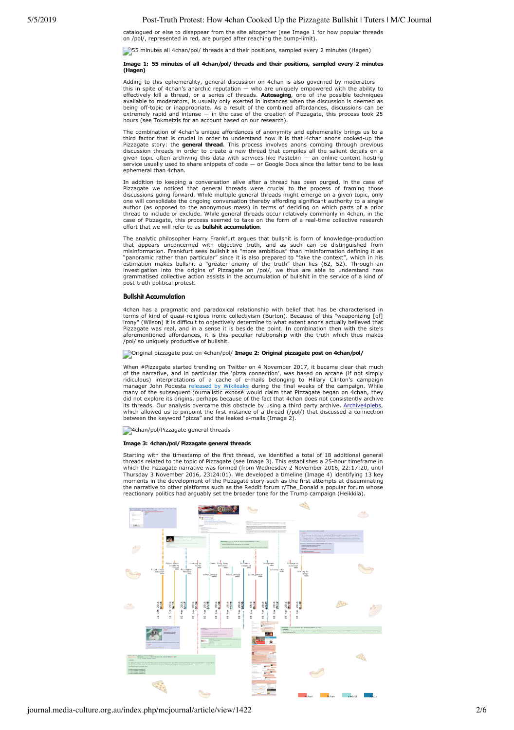catalogued or else to disappear from the site altogether (see Image 1 for how popular threads on /pol/, represented in red, are purged after reaching the bumplimit).

55 minutes all 4chan/pol/ threads and their positions, sampled every 2 minutes (Hagen)

# **Image 1: 55 minutes of all 4chan/pol/ threads and their positions, sampled every 2 minutes (Hagen)**

Adding to this ephemerality, general discussion on 4chan is also governed by moderators this in spite of 4chan's anarchic reputation — who are uniquely empowered with the ability to effectively kill a thread, or a series of threads. **Autosaging**, one of the possible techniques available to moderators, is usually only exerted in instances when the discussion is deemed as being offtopic or inappropriate. As a result of the combined affordances, discussions can be extremely rapid and intense — in the case of the creation of Pizzagate, this process took 25 hours (see Tokmetzis for an account based on our research).

The combination of 4chan's unique affordances of anonymity and ephemerality brings us to a third factor that is crucial in order to understand how it is that 4chan anons cooked-up the<br>Pizzagate story: the **general thread**. This process involves anons combing through previous discussion threads in order to create a new thread that compiles all the salient details on a given topic often archiving this data with services like Pastebin — an online content hosting service usually used to share snippets of code — or Google Docs since the latter tend to be less ephemeral than 4chan.

In addition to keeping a conversation alive after a thread has been purged, in the case of<br>Pizzagate we noticed that general threads were crucial to the process of framing those<br>discussions going forward. While multiple ge one will consolidate the ongoing conversation thereby affording significant authority to a single author (as opposed to the anonymous mass) in terms of deciding on which parts of a prior thread to include or exclude. While general threads occur relatively commonly in 4chan, in the case of Pizzagate, this process seemed to take on the form of a real-time collective research<br>effort that we will refer to as **bullshit accumulation**.

The analytic philosopher Harry Frankfurt argues that bullshit is form of knowledge-production that appears unconcerned with objective truth, and as such can be distinguished from misinformation. Frankfurt sees bullshit as "more ambitious" than misinformation defining it as "panoramic rather than particular" since it is also prepared to "fake the context", which in his estimation makes bullshit a "greater enemy of the truth" than lies (62, 52). Through an investigation into the origins of Pizzagate on /pol/, we thus are able to understand how grammatised collective action assists in the accumulation of bullshit in the service of a kind of post-truth political protest.

### **Bullshit Accumulation**

4chan has a pragmatic and paradoxical relationship with belief that has be characterised in terms of kind of quasi-religious ironic collectivism (Burton). Because of this "weaponizing [of]<br>irony" (Wilson) it is difficult to objectively determine to what extent anons actually believed that Pizzagate was real, and in a sense it is beside the point. In combination then with the site's aforementioned affordances, it is this peculiar relationship with the truth which thus makes /pol/ so uniquely productive of bullshit.

## Original pizzagate post on 4chan/pol/ **Image 2: Original pizzagate post on 4chan/pol/**

When #Pizzagate started trending on Twitter on 4 November 2017, it became clear that much of the narrative, and in particular the 'pizza connection', was based on arcane (if not simply<br>ridiculous) interpretations of a cache of e-mails belonging to Hillary Clinton's campaign<br>manager John Podesta released by Wiki did not explore its origins, perhaps because of the fact that 4chan does not consistently archive its threads. Our analysis overcame this obstacle by using a third party archive, <u>Archive4plebs</u>,<br>which allowed us to pinpoint the first instance of a thread (/pol/) that discussed a connection between the keyword "pizza" and the leaked emails (Image 2).

#### 4chan/pol/Pizzagate general threads

### **Image 3: 4chan/pol/Pizzagate general threads**

Starting with the timestamp of the first thread, we identified a total of 18 additional general threads related to the topic of Pizzagate (see Image 3). This establishes a 25-hour timeframe in<br>which the Pizzagate narrative was formed (from Wednesday 2 November 2016, 22:17:20, until Thursday 3 November 2016, 23:24:01). We developed a timeline (Image 4) identifying 13 key moments in the development of the Pizzagate story such as the first attempts at disseminating the narrative to other platforms such as the Reddit forum r/The\_Donald a popular forum whose reactionary politics had arguably set the broader tone for the Trump campaign (Heikkila).

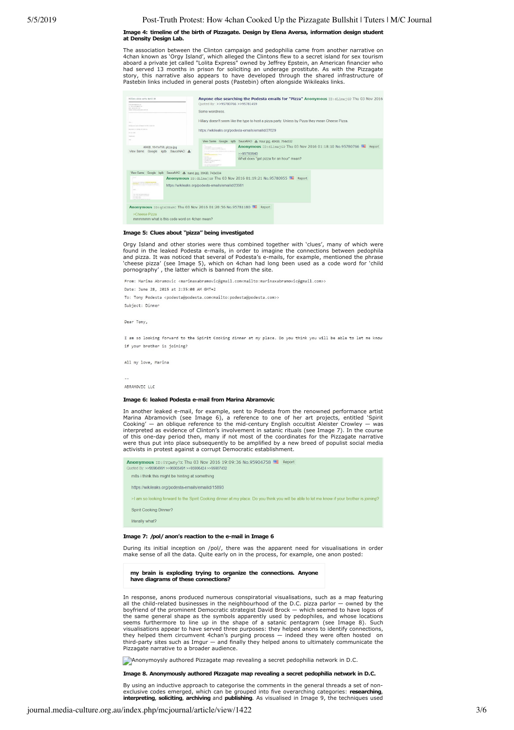#### **Image 4: timeline of the birth of Pizzagate. Design by Elena Aversa, information design student at Density Design Lab.**

The association between the Clinton campaign and pedophilia came from another narrative on<br>4chan known as 'Orgy Island', which alleged the Clintons flew to a secret island for sex tourism<br>aboard a private jet called "Lolit had served 13 months in prison for soliciting an underage prostitute. As with the Pizzagate story, this narrative also appears to have developed through the shared infrastructure of Pastebin links included in general posts (Pastebin) often alongside Wikileaks links.

|                                                                                                                             | Anyone else searching the Podesta emails for "Pizza" Anonymous ID: dLime iGP Thu 03 Nov 2016                                                                                                                                                                                                                                                                                                                                                                               |
|-----------------------------------------------------------------------------------------------------------------------------|----------------------------------------------------------------------------------------------------------------------------------------------------------------------------------------------------------------------------------------------------------------------------------------------------------------------------------------------------------------------------------------------------------------------------------------------------------------------------|
| the policy of colorado and<br>the plan prescription is car                                                                  | Ouoted By: >>95780766 >>95781459                                                                                                                                                                                                                                                                                                                                                                                                                                           |
| <b>SIX MARINE</b><br>industry editions adved performed in                                                                   | Some weirdness.                                                                                                                                                                                                                                                                                                                                                                                                                                                            |
|                                                                                                                             | Hillary doesn't seem like the type to host a pizza party. Unless by Pizza they mean Cheese Pizza.                                                                                                                                                                                                                                                                                                                                                                          |
| thereon price parts of designed for this as parts on<br>Southern in terms, but don't see<br>the country<br><b>TOTAL BAT</b> | https://wikileaks.org/podesta-emails/emailid/27029                                                                                                                                                                                                                                                                                                                                                                                                                         |
|                                                                                                                             | View Same Google iqdb SauceNAO & hour jpg 48KiB 794x532                                                                                                                                                                                                                                                                                                                                                                                                                    |
| 46KiB, 1041x759, pizza.jpg                                                                                                  | Anonymous ID:dLlmejGP Thu 03 Nov 2016 01:18:10 No.95780766   Report<br><b>Contractor</b><br>Antiscoperated                                                                                                                                                                                                                                                                                                                                                                 |
| View Same Google jodb<br>SauceNAO &                                                                                         | at and the common country of<br>>>95780640<br><b>ANGELES COMPANY</b>                                                                                                                                                                                                                                                                                                                                                                                                       |
|                                                                                                                             | <b>CONTRACTOR</b><br>What does "get pizza for an hour" mean?<br>$100 - 100$<br><b>ANTI ANGELES</b><br>the price lab<br>the country company of the country of                                                                                                                                                                                                                                                                                                               |
|                                                                                                                             | $\frac{1}{2} \left( \frac{1}{2} \right) \left( \frac{1}{2} \right) \left( \frac{1}{2} \right) \left( \frac{1}{2} \right) \left( \frac{1}{2} \right) \left( \frac{1}{2} \right) \left( \frac{1}{2} \right) \left( \frac{1}{2} \right) \left( \frac{1}{2} \right) \left( \frac{1}{2} \right) \left( \frac{1}{2} \right) \left( \frac{1}{2} \right) \left( \frac{1}{2} \right) \left( \frac{1}{2} \right) \left( \frac{1}{2} \right) \left( \frac{1}{2} \right) \left( \frac$ |
| Wew Same Google indb SauceNAO & hand.jpg, 39KiB, 743x534                                                                    |                                                                                                                                                                                                                                                                                                                                                                                                                                                                            |
| <b>MARINE FOR A STREET AND COUNTY</b>                                                                                       | Anonymous ID: dLimeiGP Thu 03 Nov 2016 01:19:21 No.95780955 Pa Report<br>https://wikileaks.org/podesta-emails/emailid/23561                                                                                                                                                                                                                                                                                                                                                |
| THE STATE IN CASE OF REAL PR<br>$\sim$ 100 per per la seconda<br>---<br><b>CALL AND AN</b>                                  |                                                                                                                                                                                                                                                                                                                                                                                                                                                                            |
|                                                                                                                             | Anonymous ID: aId3NuRC Thu 03 Nov 2016 01:20:56 No.95781180   Report                                                                                                                                                                                                                                                                                                                                                                                                       |

#### **Image 5: Clues about "pizza" being investigated**

Orgy Island and other stories were thus combined together with 'clues', many of which were found in the leaked Podesta emails, in order to imagine the connections between pedophila and pizza. It was noticed that several of Podesta's e-mails, for example, mentioned the phrase<br>'cheese pizza' (see Image 5), which on 4chan had long been used as a code word for 'child<br>pornography' , the latter which is ba

From: Marina Abramovic <marinaxabramovic@gmail.com<mailto:marinaxabramovic@gmail.com>>

Date: June 28, 2015 at 2:35:08 AM GMT+2

To: Tony Podesta <podesta@podesta.com<mailto:podesta@podesta.com>>

Subject: Dinner

Dear Tony

I am so looking forward to the Spirit Cooking dinner at my place. Do you think you will be able to let me know if your brother is joining?

All my love, Marina

ARRAMOVTC LLC

#### **Image 6: leaked Podesta email from Marina Abramovic**

In another leaked e-mail, for example, sent to Podesta from the renowned performance artist Marina Abramovich (see Image 6), a reference to one of her art projects, entitled 'Spirit Cooking' — an oblique reference to the midcentury English occultist Aleister Crowley — was interpreted as evidence of Clinton's involvement in satanic rituals (see Image 7). In the course of this one-day period then, many if not most of the coordinates for the Pizzagate narrative<br>were thus put into place subsequently to be amplified by a new breed of populist social media activists in protest against a corrupt Democratic establishment.

| Anonymous ID: 0YQmKy7x Thu 03 Nov 2016 19:09:36 No.95904758<br>Report<br>luoted By: >>95904991 >>95905491 >>95906424 >>95907432            |
|--------------------------------------------------------------------------------------------------------------------------------------------|
| m8s i think this might be hinting at something                                                                                             |
| https://wikileaks.org/podesta-emails/emailid/15893                                                                                         |
| >I am so looking forward to the Spirit Cooking dinner at my place. Do you think you will be able to let me know if your brother is joining |
| Spirit Cooking Dinner?                                                                                                                     |
| literally what?                                                                                                                            |

#### **Image 7: /pol/anon's reaction to the email in Image 6**

During its initial inception on /pol/, there was the apparent need for visualisations in order make sense of all the data. Quite early on in the process, for example, one anon posted:

# **my brain is exploding trying to organize the connections. Anyone have diagrams of these connections?**

In response, anons produced numerous conspiratorial visualisations, such as a map featuring all the child-related businesses in the neighbourhood of the D.C. pizza parlor — owned by the<br>boyfriend of the prominent Democratic strategist David Brock — which seemed to have logos of<br>the same general shape as the symbo seems furthermore to line up in the shape of a satanic pentagram (see Image 8). Such visualisations appear to have served three purposes: they helped anons to identify connections,<br>they helped them circumvent 4chan's purging process — indeed they were often hosted on<br>third-party sites such as Imgur — and f Pizzagate narrative to a broader audience.

Anonymoysly authored Pizzagate map revealing a secret pedophilia network in D.C.

#### **Image 8. Anonymously authored Pizzagate map revealing a secret pedophilia network in D.C.**

By using an inductive approach to categorise the comments in the general threads a set of nonexclusive codes emerged, which can be grouped into five overarching categories: **researching,**<br>**interpreting, soliciting, archiving** and **publishing**. As visualised in Image 9, the techniques used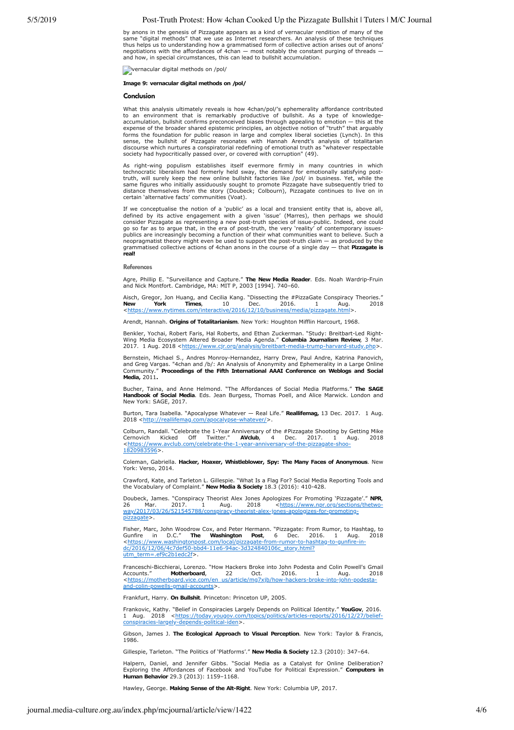## 5/5/2019 Post-Truth Protest: How 4chan Cooked Up the Pizzagate Bullshit | Tuters | M/C Journal

by anons in the genesis of Pizzagate appears as a kind of vernacular rendition of many of the same "digital methods" that we use as Internet researchers. An analysis of these techniques thus helps us to understanding how a grammatised form of collective action arises out of anons' negotiations with the affordances of 4chan — most notably the constant purging of threads and how, in special circumstances, this can lead to bullshit accumulation.

vernacular digital methods on /pol/

#### **Image 9: vernacular digital methods on /pol/**

#### **Conclusion**

What this analysis ultimately reveals is how 4chan/pol/'s ephemerality affordance contributed to an environment that is remarkably productive of bullshit. As a type of knowledgeaccumulation, bullshit confirms preconceived biases through appealing to emotion — this at the expense of the broader shared epistemic principles, an objective notion of "truth" that arguably<br>forms the foundation for public reason in large and complex liberal societies (Lynch). In this<br>sense, the bullshit of Pizz discourse which nurtures a conspiratorial redefining of emotional truth as "whatever respectable society had hypocritically passed over, or covered with corruption" (49).

As right-wing populism establishes itself evermore firmly in many countries in which<br>technocratic liberalism had formerly held sway, the demand for emotionally satisfying post-<br>truth, will surely keep the new online bullsh same figures who initially assiduously sought to promote Pizzagate have subsequently tried to distance themselves from the story (Doubeck; Colbourn), Pizzagate continues to live on in certain 'alternative facts' communities (Voat).

If we conceptualise the notion of a 'public' as a local and transient entity that is, above all, defined by its active engagement with a given `issue' (Marres), then perhaps we should<br>consider Pizzagate as representing a new post-truth species of issue-public. Indeed, one could go so far as to argue that, in the era of posttruth, the very 'reality' of contemporary issuespublics are increasingly becoming a function of their what communities want to believe. Such a neopragmatist theory might even be used to support the posttruth claim — as produced by the grammatised collective actions of 4chan anons in the course of a single day — that **Pizzagate is real!**

#### **References**

Agre, Phillip E. "Surveillance and Capture." The New Media Reader. Eds. Noah Wardrip-Fruin and Nick Montfort. Cambridge, MA: MIT P, 2003 [1994]. 740–60.

Aisch, Gregor, Jon Huang, and Cecilia Kang. "Dissecting the #PizzaGate Conspiracy Theories." **New York Times**, 10 Dec. 2016. 1 Aug. 2018 New York Times, and contains the Dec.<br>New York Times, 10 Dec. 2016. 1 Aug.<br><https://www.nytimes.com/interactive/2016/12/10/business/media/pizzagate.html>.

Arendt, Hannah. **Origins of Totalitarianism**. New York: Houghton Mifflin Harcourt, 1968.

Benkler, Yochai, Robert Faris, Hal Roberts, and Ethan Zuckerman. "Study: Breitbart-Led Right-Wing Media Ecosystem Altered Broader Media Agenda." **Columbia Journalism Review,** 3 Mar.<br>2017. 1 Aug. 2018 <<u>https://www.cjr.org/analysis/breitbart-media-trump-harvard-study.php>.</u>

Bernstein, Michael S., Andres Monroy-Hernandez, Harry Drew, Paul Andre, Katrina Panovich,<br>and Greg Vargas. "4chan and /b/: An Analysis of Anonymity and Ephemerality in a Large Online<br>Community." **Proceedings of the Fifth I Media,** 2011**.**

Bucher, Taina, and Anne Helmond. "The Affordances of Social Media Platforms." **The SAGE Handbook of Social Media**. Eds. Jean Burgess, Thomas Poell, and Alice Marwick. London and New York: SAGE, 2017.

Burton, Tara Isabella. "Apocalypse Whatever — Real Life." **Reallifemag,** 13 Dec. 2017. 1 Aug.<br>2018 <<u>http://reallifemag.com/apocalypse-whatever/</u>>.

Colburn, Randall. "Celebrate the 1-Year Anniversary of the #Pizzagate Shooting by Getting Mike<br>Cernovich Kicked Off Twitter." **AVClub,** 4 Dec. 2017. 1 Aug. 2018<br><https://www.avclub.com 1820983596>.

Coleman, Gabriella. **Hacker, Hoaxer, Whistleblower, Spy: The Many Faces of Anonymous**. New York: Verso, 2014.

Crawford, Kate, and Tarleton L. Gillespie. "What Is a Flag For? Social Media Reporting Tools and the Vocabulary of Complaint." **New Media & Society** 18.3 (2016): 410428.

Doubeck, James. "Conspiracy Theorist Alex Jones Apologizes For Promoting 'Pizzagate'." **NPR**, 26 Mar. 2017. 1 Aug. 2018 <https://www.npr.org/sections/thetwo-<br>way/2017/03/26/521545788/conspiracy-theorist-alex-jones-apologizes-for-promotingpizzagate>.

Fisher, Marc, John Woodrow Cox, and Peter Hermann. "Pizzagate: From Rumor, to Hashtag, to<br>Gunfire in D.C." The Washington Post, 6 Dec. 2016. Influence Confinent<br><https://www.washingtonpost.com/local/pizzagate-from-rumor-to Gunfire in D.C." **The Washington Post**, 6 Dec. 2016. 1 Aug. 2018<br><https://www.washingtonpost.com/local/pizzagate-from-rumor-to-hashtag-to-gunfire-indc/2016/12/06/4c7def50-bbd4-11e6-94ac-3d324840106c\_story.html? utm\_term=.ef9c2b1edc2f>.

Franceschi-Bicchierai, Lorenzo. "How Hackers Broke into John Podesta and Colin Powell's Gmail Accounts." **Motherboard**, 22 Oct. 2016. 1 Aug. 2018<br><https://motherboard.vice.com/en\_us/article/mg7xjb/how-hackers-broke-into-john-podestaand-colin-powells-gmail-accounts>.

Frankfurt, Harry. **On Bullshit**. Princeton: Princeton UP, 2005.

Frankovic, Kathy. "Belief in Conspiracies Largely Depends on Political Identity." **YouGov**, 2016. 1 Aug. 2018 <https://today.yougov.com/topics/politics/articlesreports/2016/12/27/beliefconspiracies-largely-depends-political-iden>

Gibson, James J. **The Ecological Approach to Visual Perception**. New York: Taylor & Francis, 1986.

Gillespie, Tarleton. "The Politics of 'Platforms'." **New Media & Society** 12.3 (2010): 347–64.

Halpern, Daniel, and Jennifer Gibbs. "Social Media as a Catalyst for Online Deliberation? Exploring the Affordances of Facebook and YouTube for Political Expression." **Computers in Human Behavior** 29.3 (2013): 1159–1168.

Hawley, George. Making Sense of the Alt-Right. New York: Columbia UP, 2017.